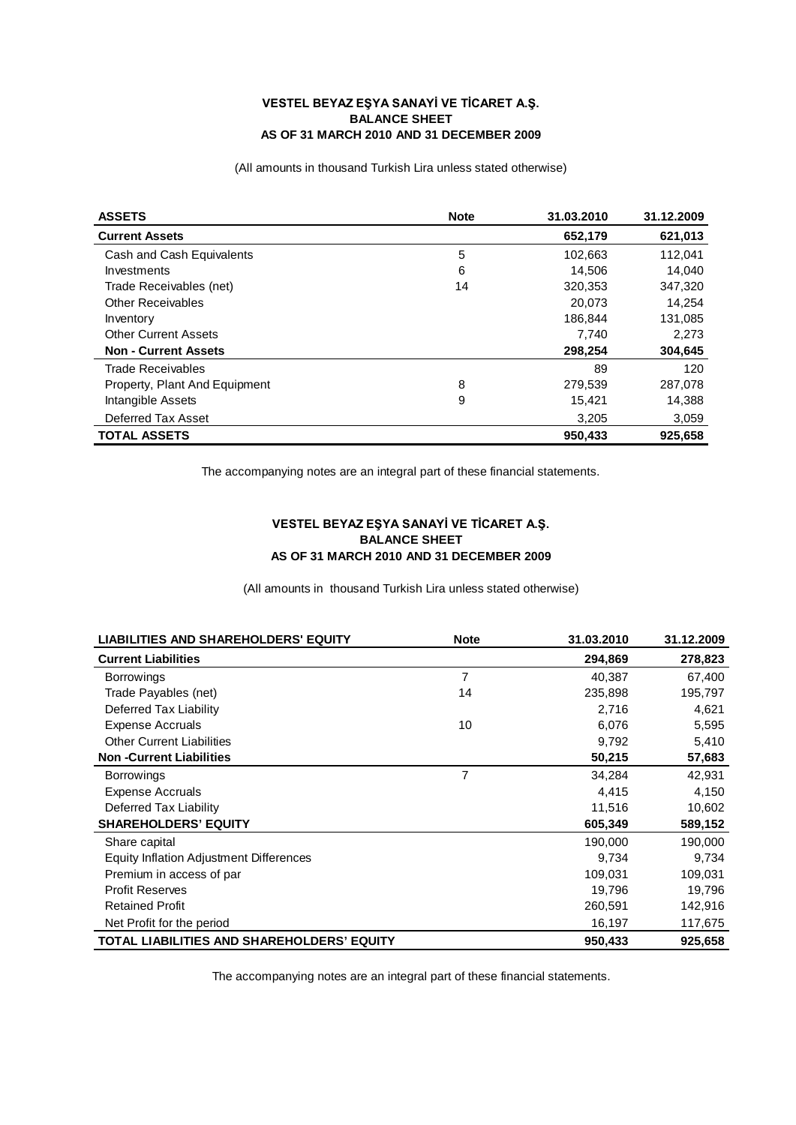## **VESTEL BEYAZ EŞYA SANAYİ VE TİCARET A.Ş. BALANCE SHEET AS OF 31 MARCH 2010 AND 31 DECEMBER 2009**

(All amounts in thousand Turkish Lira unless stated otherwise)

| <b>ASSETS</b>                 | <b>Note</b> | 31.03.2010 | 31.12.2009 |
|-------------------------------|-------------|------------|------------|
| <b>Current Assets</b>         |             | 652,179    | 621,013    |
| Cash and Cash Equivalents     | 5           | 102,663    | 112.041    |
| Investments                   | 6           | 14.506     | 14.040     |
| Trade Receivables (net)       | 14          | 320,353    | 347,320    |
| <b>Other Receivables</b>      |             | 20,073     | 14.254     |
| Inventory                     |             | 186,844    | 131,085    |
| <b>Other Current Assets</b>   |             | 7,740      | 2,273      |
| <b>Non - Current Assets</b>   |             | 298,254    | 304,645    |
| <b>Trade Receivables</b>      |             | 89         | 120        |
| Property, Plant And Equipment | 8           | 279,539    | 287,078    |
| Intangible Assets             | 9           | 15,421     | 14,388     |
| Deferred Tax Asset            |             | 3,205      | 3,059      |
| <b>TOTAL ASSETS</b>           |             | 950,433    | 925.658    |

The accompanying notes are an integral part of these financial statements.

## **VESTEL BEYAZ EŞYA SANAYİ VE TİCARET A.Ş. BALANCE SHEET AS OF 31 MARCH 2010 AND 31 DECEMBER 2009**

(All amounts in thousand Turkish Lira unless stated otherwise)

| <b>LIABILITIES AND SHAREHOLDERS' EQUITY</b> | <b>Note</b> | 31.03.2010 | 31.12.2009 |
|---------------------------------------------|-------------|------------|------------|
| <b>Current Liabilities</b>                  |             | 294,869    | 278,823    |
| <b>Borrowings</b>                           | 7           | 40,387     | 67,400     |
| Trade Payables (net)                        | 14          | 235,898    | 195,797    |
| Deferred Tax Liability                      |             | 2,716      | 4,621      |
| <b>Expense Accruals</b>                     | 10          | 6,076      | 5,595      |
| <b>Other Current Liabilities</b>            |             | 9,792      | 5,410      |
| <b>Non-Current Liabilities</b>              |             | 50,215     | 57,683     |
| <b>Borrowings</b>                           | 7           | 34,284     | 42,931     |
| <b>Expense Accruals</b>                     |             | 4,415      | 4,150      |
| Deferred Tax Liability                      |             | 11,516     | 10,602     |
| <b>SHAREHOLDERS' EQUITY</b>                 |             | 605,349    | 589,152    |
| Share capital                               |             | 190,000    | 190,000    |
| Equity Inflation Adjustment Differences     |             | 9,734      | 9,734      |
| Premium in access of par                    |             | 109,031    | 109,031    |
| <b>Profit Reserves</b>                      |             | 19,796     | 19,796     |
| <b>Retained Profit</b>                      |             | 260,591    | 142,916    |
| Net Profit for the period                   |             | 16,197     | 117,675    |
| TOTAL LIABILITIES AND SHAREHOLDERS' EQUITY  |             | 950,433    | 925,658    |

The accompanying notes are an integral part of these financial statements.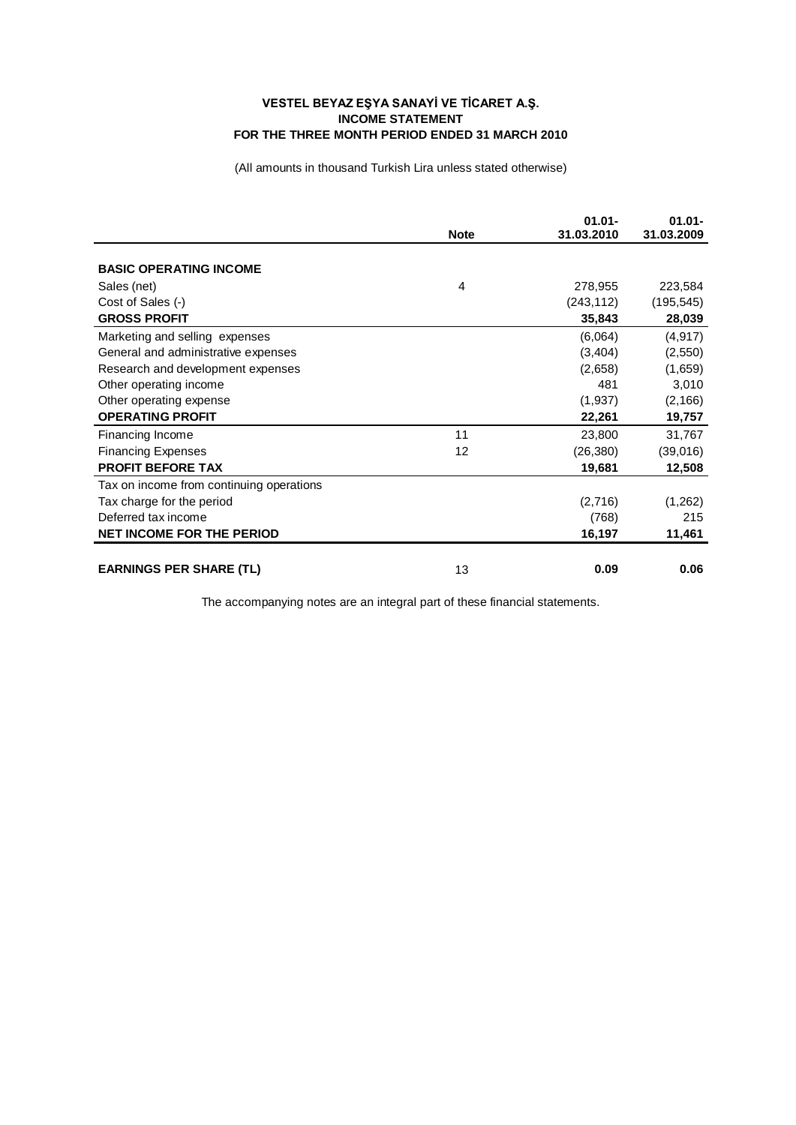## **VESTEL BEYAZ EŞYA SANAYİ VE TİCARET A.Ş. INCOME STATEMENT FOR THE THREE MONTH PERIOD ENDED 31 MARCH 2010**

(All amounts in thousand Turkish Lira unless stated otherwise)

|                                          | <b>Note</b> | $01.01 -$<br>31.03.2010 | $01.01 -$<br>31.03.2009 |
|------------------------------------------|-------------|-------------------------|-------------------------|
|                                          |             |                         |                         |
| <b>BASIC OPERATING INCOME</b>            |             |                         |                         |
| Sales (net)                              | 4           | 278,955                 | 223,584                 |
| Cost of Sales (-)                        |             | (243, 112)              | (195, 545)              |
| <b>GROSS PROFIT</b>                      |             | 35,843                  | 28,039                  |
| Marketing and selling expenses           |             | (6,064)                 | (4, 917)                |
| General and administrative expenses      |             | (3,404)                 | (2, 550)                |
| Research and development expenses        |             | (2,658)                 | (1,659)                 |
| Other operating income                   |             | 481                     | 3,010                   |
| Other operating expense                  |             | (1,937)                 | (2, 166)                |
| <b>OPERATING PROFIT</b>                  |             | 22,261                  | 19,757                  |
| Financing Income                         | 11          | 23,800                  | 31,767                  |
| <b>Financing Expenses</b>                | 12          | (26, 380)               | (39,016)                |
| <b>PROFIT BEFORE TAX</b>                 |             | 19,681                  | 12,508                  |
| Tax on income from continuing operations |             |                         |                         |
| Tax charge for the period                |             | (2,716)                 | (1,262)                 |
| Deferred tax income                      |             | (768)                   | 215                     |
| <b>NET INCOME FOR THE PERIOD</b>         |             | 16,197                  | 11,461                  |
|                                          |             |                         |                         |
| <b>EARNINGS PER SHARE (TL)</b>           | 13          | 0.09                    | 0.06                    |

The accompanying notes are an integral part of these financial statements.